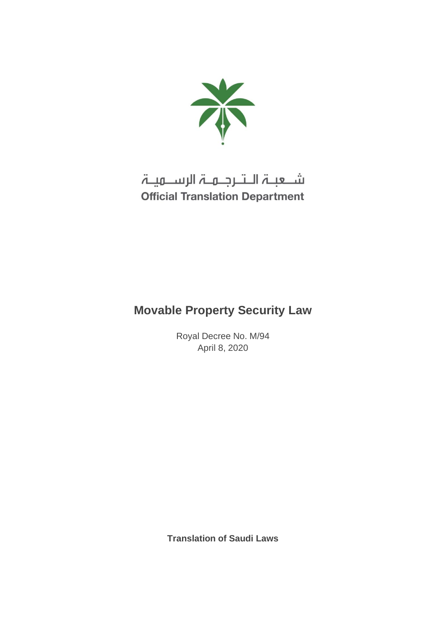

# شـعبـۃ الـتـرجـمـۃ الرســمیـۃ **Official Translation Department**

## **Movable Property Security Law**

Royal Decree No. M/94 April 8, 2020

**Translation of Saudi Laws**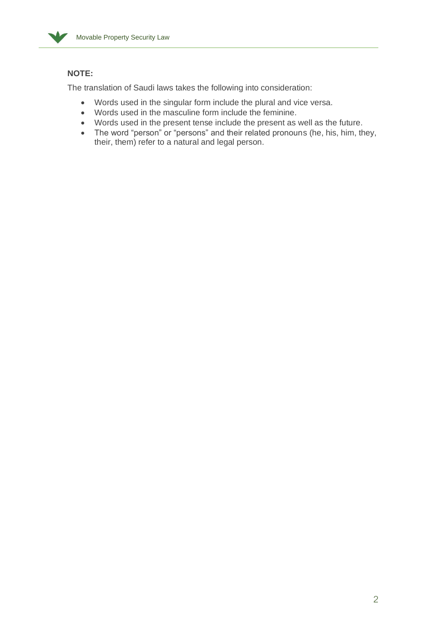

## **NOTE:**

The translation of Saudi laws takes the following into consideration:

- Words used in the singular form include the plural and vice versa.
- Words used in the masculine form include the feminine.
- Words used in the present tense include the present as well as the future.
- The word "person" or "persons" and their related pronouns (he, his, him, they, their, them) refer to a natural and legal person.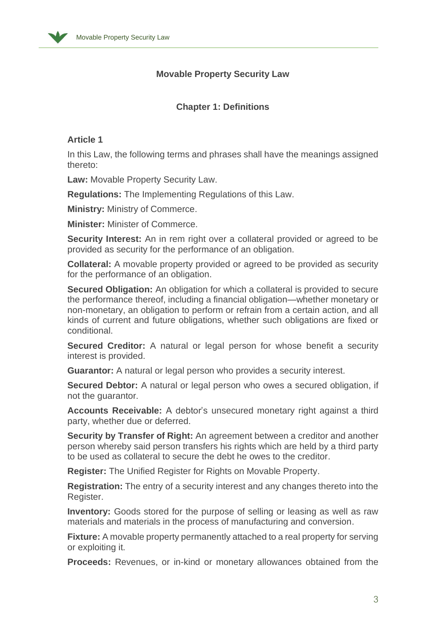

## **Movable Property Security Law**

## **Chapter 1: Definitions**

## **Article 1**

In this Law, the following terms and phrases shall have the meanings assigned thereto:

Law: Movable Property Security Law.

**Regulations:** The Implementing Regulations of this Law .

**Ministry:** Ministry of Commerce.

**Minister:** Minister of Commerce .

**Security Interest:** An in rem right over a collateral provided or agreed to be provided as security for the performance of an obligation .

**Collateral:** A movable property provided or agreed to be provided as security for the performance of an obligation.

**Secured Obligation:** An obligation for which a collateral is provided to secure the performance thereof, including a financial obligation—whether monetary or non-monetary, an obligation to perform or refrain from a certain action, and all kinds of current and future obligations, whether such obligations are fixed or conditional .

**Secured Creditor:** A natural or legal person for whose benefit a security interest is provided .

**Guarantor:** A natural or legal person who provides a security interest.

**Secured Debtor:** A natural or legal person who owes a secured obligation, if not the quarantor.

**Accounts Receivable:** A debtor's unsecured monetary right against a third party, whether due or deferred.

**Security by Transfer of Right:** An agreement between a creditor and another person whereby said person transfers his rights which are held by a third party to be used as collateral to secure the debt he owes to the creditor.

**Register:** The Unified Register for Rights on Movable Property.

**Registration:** The entry of a security interest and any changes thereto into the Register.

**Inventory:** Goods stored for the purpose of selling or leasing as well as raw materials and materials in the process of manufacturing and conversion .

**Fixture:** A movable property permanently attached to a real property for serving or exploiting it.

**Proceeds:** Revenues, or in-kind or monetary allowances obtained from the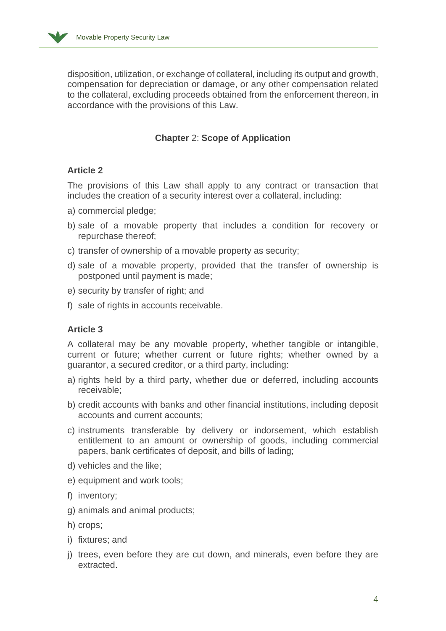

disposition, utilization, or exchange of collateral, including its output and growth, compensation for depreciation or damage, or any other compensation related to the collateral, excluding proceeds obtained from the enforcement thereon, in accordance with the provisions of this Law.

## **Chapter** 2: **Scope of Application**

## **Article 2**

The provisions of this Law shall apply to any contract or transaction that includes the creation of a security interest over a collateral, including:

- a) commercial pledge;
- b) sale of a movable property that includes a condition for recovery or repurchase thereof;
- c) transfer of ownership of a movable property as security;
- d) sale of a movable property, provided that the transfer of ownership is postponed until payment is made;
- e) security by transfer of right; and
- f) sale of rights in accounts receivable.

## **Article 3**

A collateral may be any movable property, whether tangible or intangible, current or future; whether current or future rights; whether owned by a guarantor, a secured creditor, or a third party, including :

- a) rights held by a third party, whether due or deferred, including accounts receivable;
- b) credit accounts with banks and other financial institutions, including deposit accounts and current accounts;
- c) instruments transferable by delivery or indorsement, which establish entitlement to an amount or ownership of goods, including commercial papers, bank certificates of deposit, and bills of lading;
- d) vehicles and the like;
- e) equipment and work tools;
- f) inventory;
- g) animals and animal products;
- h) crops;
- i) fixtures; and
- j) trees, even before they are cut down, and minerals, even before they are extracted.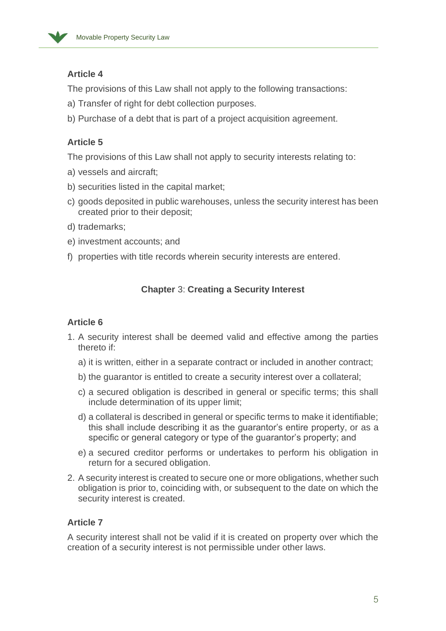

## **Article 4**

The provisions of this Law shall not apply to the following transactions:

- a) Transfer of right for debt collection purposes.
- b) Purchase of a debt that is part of a project acquisition agreement.

## **Article 5**

The provisions of this Law shall not apply to security interests relating to:

- a) vessels and aircraft;
- b) securities listed in the capital market;
- c) goods deposited in public warehouses, unless the security interest has been created prior to their deposit;
- d) trademarks;
- e) investment accounts; and
- f) properties with title records wherein security interests are entered .

## **Chapter** 3: **Creating a Security Interest**

## **Article 6**

- 1. A security interest shall be deemed valid and effective among the parties thereto if:
	- a) it is written, either in a separate contract or included in another contract;
	- b) the guarantor is entitled to create a security interest over a collateral;
	- c) a secured obligation is described in general or specific terms; this shall include determination of its upper limit;
	- d) a collateral is described in general or specific terms to make it identifiable; this shall include describing it as the guarantor's entire property, or as a specific or general category or type of the guarantor's property; and
	- e) a secured creditor performs or undertakes to perform his obligation in return for a secured obligation.
- 2. A security interest is created to secure one or more obligations, whether such obligation is prior to, coinciding with, or subsequent to the date on which the security interest is created.

## **Article 7**

A security interest shall not be valid if it is created on property over which the creation of a security interest is not permissible under other laws .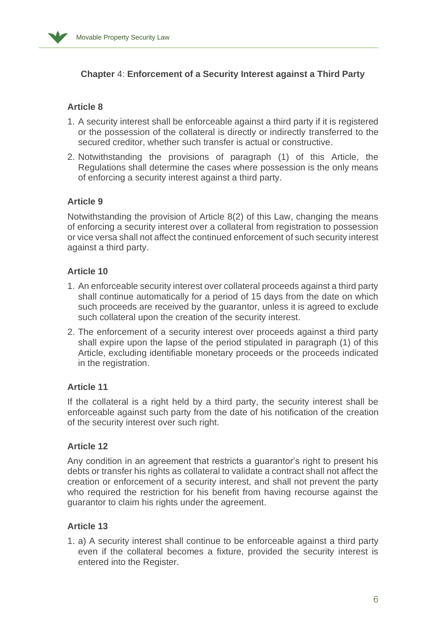

## **Chapter** 4: **Enforcement of a Security Interest against a Third Party**

## **Article 8**

- 1. A security interest shall be enforceable against a third party if it is registered or the possession of the collateral is directly or indirectly transferred to the secured creditor, whether such transfer is actual or constructive.
- 2. Notwithstanding the provisions of paragraph (1) of this Article, the Regulations shall determine the cases where possession is the only means of enforcing a security interest against a third party .

## **Article 9**

Notwithstanding the provision of Article 8(2) of this Law, changing the means of enforcing a security interest over a collateral from registration to possession or vice versa shall not affect the continued enforcement of such security interest against a third party.

## **Article 10**

- 1. An enforceable security interest over collateral proceeds against a third party shall continue automatically for a period of 15 days from the date on which such proceeds are received by the guarantor, unless it is agreed to exclude such collateral upon the creation of the security interest.
- 2. The enforcement of a security interest over proceeds against a third party shall expire upon the lapse of the period stipulated in paragraph (1) of this Article, excluding identifiable monetary proceeds or the proceeds indicated in the registration.

## **Article 11**

If the collateral is a right held by a third party, the security interest shall be enforceable against such party from the date of his notification of the creation of the security interest over such right.

## **Article 12**

Any condition in an agreement that restricts a guarantor's right to present his debts or transfer his rights as collateral to validate a contract shall not affect the creation or enforcement of a security interest, and shall not prevent the party who required the restriction for his benefit from having recourse against the guarantor to claim his rights under the agreement.

## **Article 13**

1. a) A security interest shall continue to be enforceable against a third party even if the collateral becomes a fixture, provided the security interest is entered into the Register .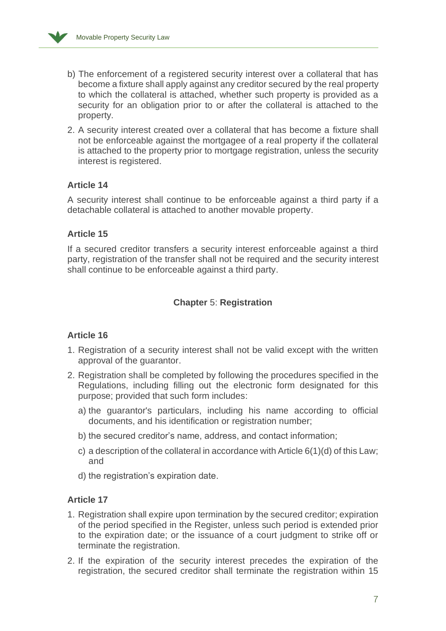

- b) The enforcement of a registered security interest over a collateral that has become a fixture shall apply against any creditor secured by the real property to which the collateral is attached, whether such property is provided as a security for an obligation prior to or after the collateral is attached to the property.
- 2. A security interest created over a collateral that has become a fixture shall not be enforceable against the mortgagee of a real property if the collateral is attached to the property prior to mortgage registration, unless the security interest is registered.

## **Article 14**

A security interest shall continue to be enforceable against a third party if a detachable collateral is attached to another movable property.

## **Article 15**

If a secured creditor transfers a security interest enforceable against a third party, registration of the transfer shall not be required and the security interest shall continue to be enforceable against a third party.

## **Chapter** 5: **Registration**

## **Article 16**

- 1. Registration of a security interest shall not be valid except with the written approval of the guarantor.
- 2. Registration shall be completed by following the procedures specified in the Regulations, including filling out the electronic form designated for this purpose; provided that such form includes:
	- a) the guarantor's particulars, including his name according to official documents, and his identification or registration number;
	- b) the secured creditor's name, address, and contact information;
	- c) a description of the collateral in accordance with Article 6(1)(d) of this Law; and
	- d) the registration's expiration date.

## **Article 17**

- 1. Registration shall expire upon termination by the secured creditor; expiration of the period specified in the Register, unless such period is extended prior to the expiration date; or the issuance of a court judgment to strike off or terminate the registration.
- 2. If the expiration of the security interest precedes the expiration of the registration, the secured creditor shall terminate the registration within 15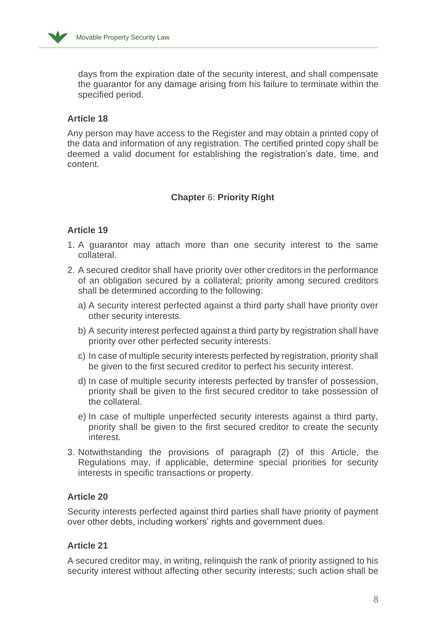

days from the expiration date of the security interest, and shall compensate the guarantor for any damage arising from his failure to terminate within the specified period.

## **Article 18**

Any person may have access to the Register and may obtain a printed copy of the data and information of any registration. The certified printed copy shall be deemed a valid document for establishing the registration's date, time, and content.

## **Chapter** 6: **Priority Right**

## **Article 19**

- 1. A guarantor may attach more than one security interest to the same collateral .
- 2. A secured creditor shall have priority over other creditors in the performance of an obligation secured by a collateral; priority among secured creditors shall be determined according to the following:
	- a) A security interest perfected against a third party shall have priority over other security interests .
	- b) A security interest perfected against a third party by registration shall have priority over other perfected security interests.
	- c) In case of multiple security interests perfected by registration, priority shall be given to the first secured creditor to perfect his security interest.
	- d) In case of multiple security interests perfected by transfer of possession, priority shall be given to the first secured creditor to take possession of the collateral .
	- e) In case of multiple unperfected security interests against a third party, priority shall be given to the first secured creditor to create the security interest.
- 3. Notwithstanding the provisions of paragraph (2) of this Article, the Regulations may, if applicable, determine special priorities for security interests in specific transactions or property.

## **Article 20**

Security interests perfected against third parties shall have priority of payment over other debts, including workers' rights and government dues.

## **Article 21**

A secured creditor may, in writing, relinquish the rank of priority assigned to his security interest without affecting other security interests; such action shall be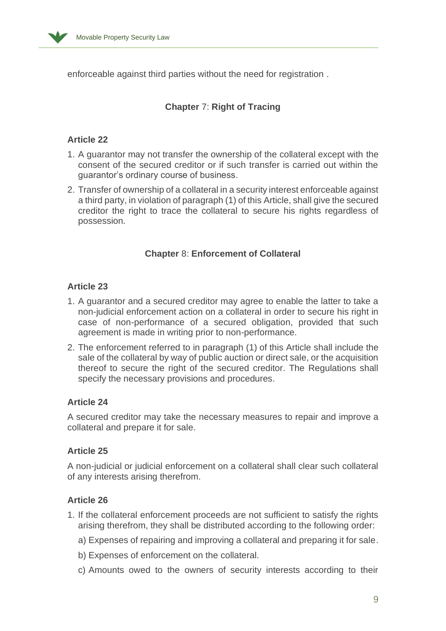

enforceable against third parties without the need for registration .

## **Chapter** 7: **Right of Tracing**

## **Article 22**

- 1. A guarantor may not transfer the ownership of the collateral except with the consent of the secured creditor or if such transfer is carried out within the guarantor's ordinary course of business.
- 2. Transfer of ownership of a collateral in a security interest enforceable against a third party, in violation of paragraph (1) of this Article, shall give the secured creditor the right to trace the collateral to secure his rights regardless of possession .

## **Chapter** 8: **Enforcement of Collateral**

## **Article 23**

- 1. A guarantor and a secured creditor may agree to enable the latter to take a non-judicial enforcement action on a collateral in order to secure his right in case of non-performance of a secured obligation, provided that such agreement is made in writing prior to non-performance .
- 2. The enforcement referred to in paragraph (1) of this Article shall include the sale of the collateral by way of public auction or direct sale, or the acquisition thereof to secure the right of the secured creditor. The Regulations shall specify the necessary provisions and procedures.

## **Article 24**

A secured creditor may take the necessary measures to repair and improve a collateral and prepare it for sale.

## **Article 25**

A non-judicial or judicial enforcement on a collateral shall clear such collateral of any interests arising therefrom .

## **Article 26**

- 1. If the collateral enforcement proceeds are not sufficient to satisfy the rights arising therefrom, they shall be distributed according to the following order :
	- a) Expenses of repairing and improving a collateral and preparing it for sale .
	- b) Expenses of enforcement on the collateral.
	- c) Amounts owed to the owners of security interests according to their